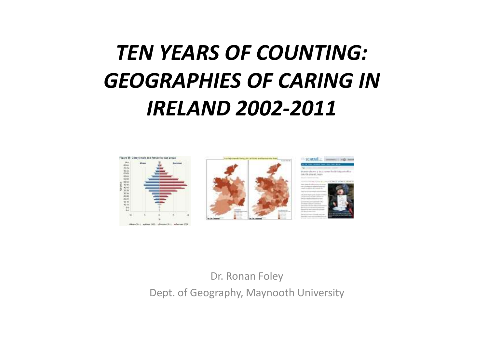# *TEN YEARS OF COUNTING: GEOGRAPHIES OF CARING IN IRELAND 2002-2011*







Dr. Ronan FoleyDept. of Geography, Maynooth University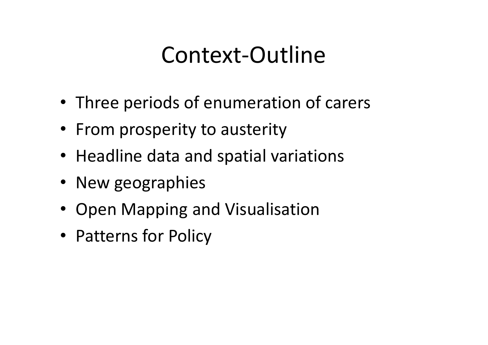# Context-Outline

- Three periods of enumeration of carers
- From prosperity to austerity
- Headline data and spatial variations
- New geographies
- Open Mapping and Visualisation
- Patterns for Policy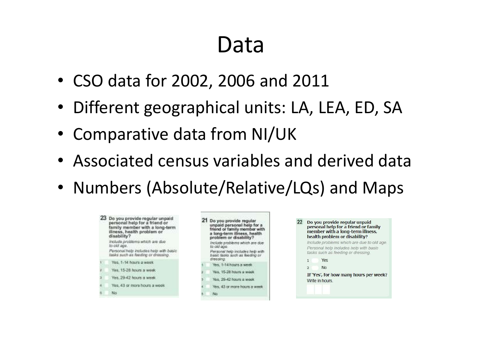### Data

- CSO data for 2002, 2006 and 2011
- Different geographical units: LA, LEA, ED, SA
- Comparative data from NI/UK
- Associated census variables and derived data
- Numbers (Absolute/Relative/LQs) and Maps

to old age.

dires sing

Yes, 1-14 hours a week



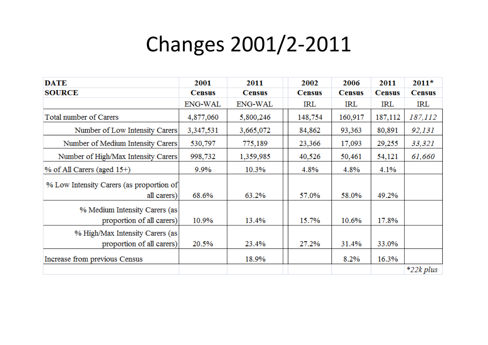### Changes 2001/2-2011

| <b>DATE</b>                              | 2001          | 2011          | 2002          | 2006          | 2011          | $2011*$       |
|------------------------------------------|---------------|---------------|---------------|---------------|---------------|---------------|
| <b>SOURCE</b>                            | <b>Census</b> | <b>Census</b> | <b>Census</b> | <b>Census</b> | <b>Census</b> | <b>Census</b> |
|                                          | ENG-WAL       | ENG-WAL       | IRL           | IRL           | IRL           | IRL           |
| Total number of Carers                   | 4,877,060     | 5,800,246     | 148,754       | 160,917       | 187,112       | 187,112       |
| Number of Low Intensity Carers           | 3,347,531     | 3,665,072     | 84,862        | 93,363        | 80,891        | 92,131        |
| Number of Medium Intensity Carers        | 530,797       | 775,189       | 23,366        | 17,093        | 29,255        | 33,321        |
| Number of High/Max Intensity Carers      | 998,732       | 1,359,985     | 40,526        | 50,461        | 54,121        | 61,660        |
| % of All Carers (aged 15+)               | 9.9%          | 10.3%         | 4.8%          | 4.8%          | 4.1%          |               |
| % Low Intensity Carers (as proportion of |               |               |               |               |               |               |
| all carers)                              | 68.6%         | 63.2%         | 57.0%         | 58.0%         | 49.2%         |               |
| % Medium Intensity Carers (as            |               |               |               |               |               |               |
| proportion of all carers)                | 10.9%         | 13.4%         | 15.7%         | 10.6%         | 17.8%         |               |
| % High/Max Intensity Carers (as          |               |               |               |               |               |               |
| proportion of all carers)                | 20.5%         | 23.4%         | 27.2%         | 31.4%         | 33.0%         |               |
| Increase from previous Census            |               | 18.9%         |               | 8.2%          | 16.3%         |               |
|                                          |               |               |               |               |               | $*22k$ plus   |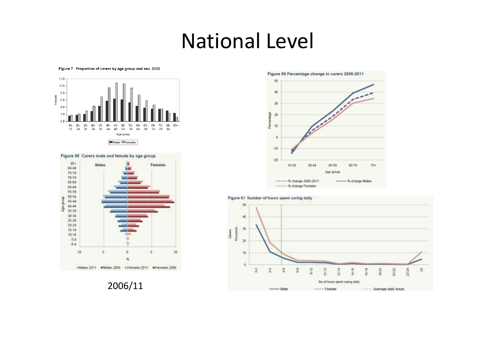#### National Level

Figure 7 Proportion of carers by age group and sex, 2002







Figure 56 Percentage change in carers 2006-2011





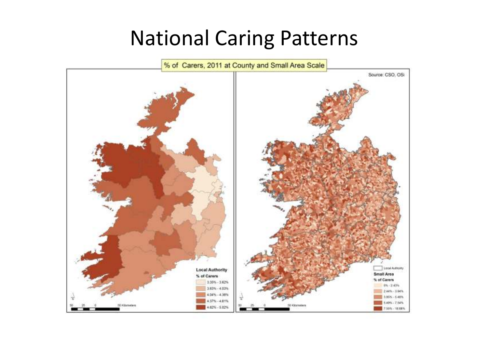#### National Caring Patterns

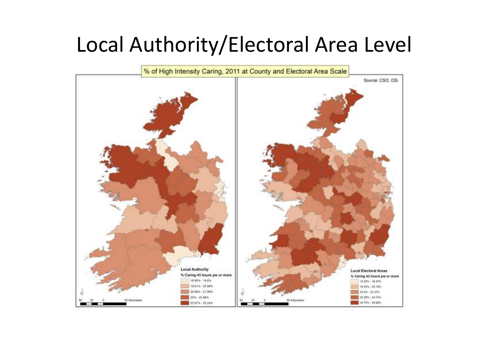### Local Authority/Electoral Area Level

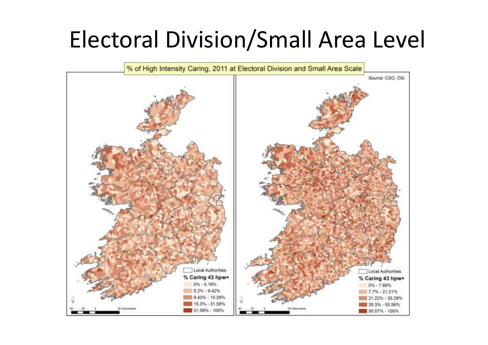# Electoral Division/Small Area Level

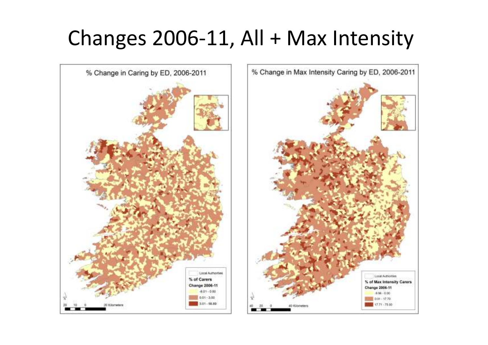### Changes 2006-11, All + Max Intensity



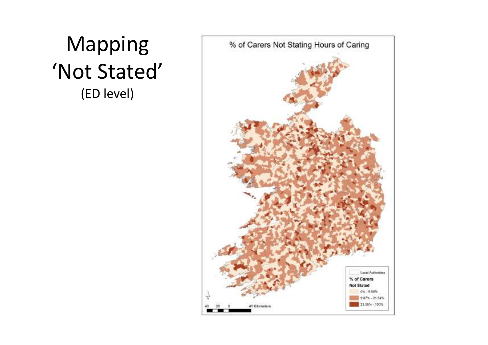#### Mapping 'Not Stated'(ED level)

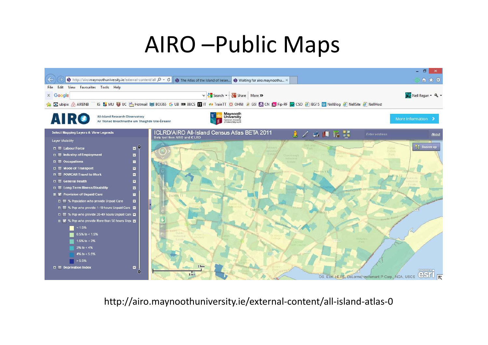# AIRO –Public Maps



http://airo.maynoothuniversity.ie/external-content/all-island-atlas-0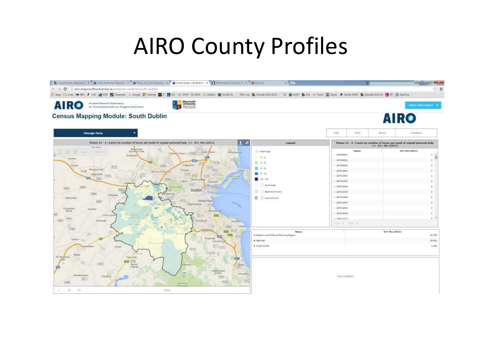### AIRO County Profiles

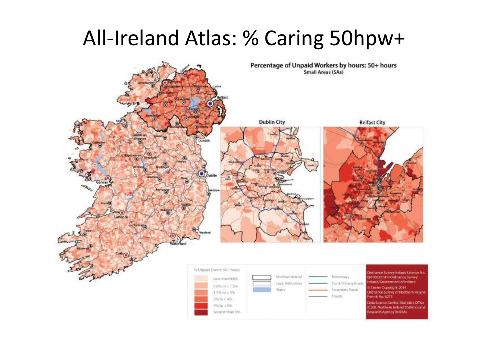#### All-Ireland Atlas: % Caring 50hpw+

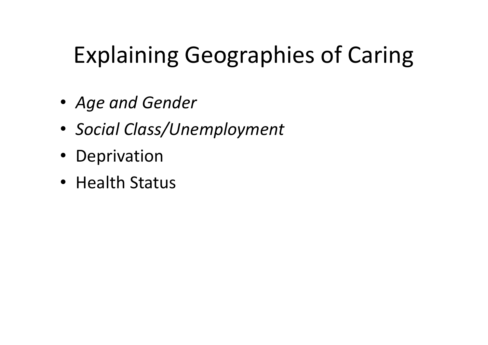# Explaining Geographies of Caring

- *Age and Gender*
- *Social Class/Unemployment*
- Deprivation
- Health Status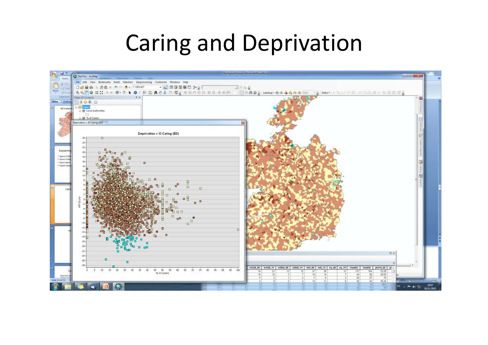### Caring and Deprivation

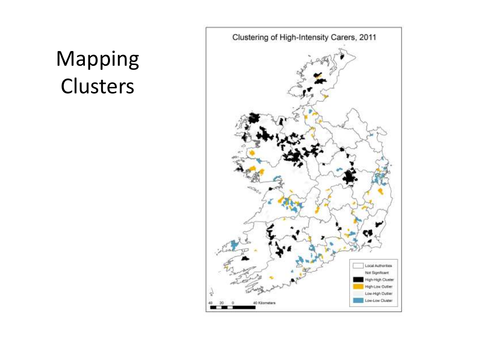### Mapping **Clusters**

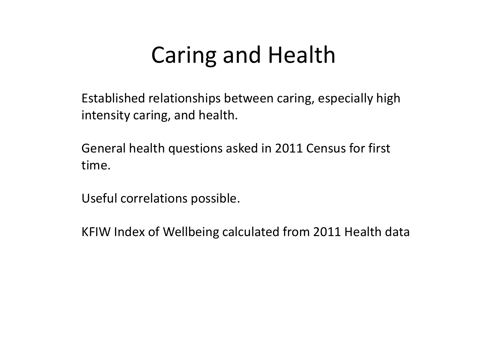# Caring and Health

Established relationships between caring, especially high intensity caring, and health.

General health questions asked in 2011 Census for first time.

Useful correlations possible.

KFIW Index of Wellbeing calculated from 2011 Health data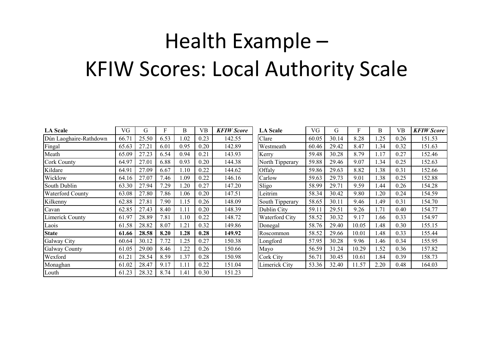# Health Example –KFIW Scores: Local Authority Scale

| <b>LA Scale</b>        | VG    | G     | F    | B    | <b>VB</b> | <b>KFIW Score</b> | <b>LA Scale</b> | VG    | G     | F     | B    | <b>VB</b> | <b>KFIW Score</b> |
|------------------------|-------|-------|------|------|-----------|-------------------|-----------------|-------|-------|-------|------|-----------|-------------------|
| Dún Laoghaire-Rathdown | 66.71 | 25.50 | 6.53 | .02  | 0.23      | 142.55            | Clare           | 60.05 | 30.14 | 8.28  | .25  | 0.26      | 151.53            |
| Fingal                 | 65.63 | 27.21 | 6.01 | 0.95 | 0.20      | 142.89            | Westmeath       | 60.46 | 29.42 | 8.47  | .34  | 0.32      | 151.63            |
| Meath                  | 65.09 | 27.23 | 6.54 | 0.94 | 0.21      | 143.93            | Kerry           | 59.48 | 30.28 | 8.79  | 1.17 | 0.27      | 152.46            |
| <b>Cork County</b>     | 64.97 | 27.01 | 6.88 | 0.93 | 0.20      | 144.38            | North Tipperary | 59.88 | 29.46 | 9.07  | .34  | 0.25      | 152.63            |
| Kildare                | 64.91 | 27.09 | 6.67 | 1.10 | 0.22      | 144.62            | Offaly          | 59.86 | 29.63 | 8.82  | .38  | 0.31      | 152.66            |
| Wicklow                | 64.16 | 27.07 | 7.46 | .09  | 0.22      | 146.16            | Carlow          | 59.63 | 29.73 | 9.01  | .38  | 0.25      | 152.88            |
| South Dublin           | 63.30 | 27.94 | 7.29 | .20  | 0.27      | 147.20            | Sligo           | 58.99 | 29.71 | 9.59  | .44  | 0.26      | 154.28            |
| Waterford County       | 63.08 | 27.80 | 7.86 | .06  | 0.20      | 147.51            | Leitrim         | 58.34 | 30.42 | 9.80  | .20  | 0.24      | 154.59            |
| Kilkenny               | 62.88 | 27.81 | 7.90 | 1.15 | 0.26      | 148.09            | South Tipperary | 58.65 | 30.11 | 9.46  | .49  | 0.31      | 154.70            |
| Cavan                  | 62.85 | 27.43 | 8.40 | 1.11 | 0.20      | 148.39            | Dublin City     | 59.11 | 29.51 | 9.26  | 1.71 | 0.40      | 154.77            |
| Limerick County        | 61.97 | 28.89 | 7.81 | 1.10 | 0.22      | 148.72            | Waterford City  | 58.52 | 30.32 | 9.17  | .66  | 0.33      | 154.97            |
| Laois                  | 61.58 | 28.82 | 8.07 | .21  | 0.32      | 149.86            | Donegal         | 58.76 | 29.40 | 10.05 | .48  | 0.30      | 155.15            |
| <b>State</b>           | 61.66 | 28.58 | 8.20 | 1.28 | 0.28      | 149.92            | Roscommon       | 58.52 | 29.66 | 10.01 | .48  | 0.33      | 155.44            |
| Galway City            | 60.64 | 30.12 | 7.72 | .25  | 0.27      | 150.38            | Longford        | 57.95 | 30.28 | 9.96  | .46  | 0.34      | 155.95            |
| <b>Galway County</b>   | 61.05 | 29.00 | 8.46 | .22  | 0.26      | 150.66            | Mayo            | 56.59 | 31.24 | 10.29 | .52  | 0.36      | 157.82            |
| Wexford                | 61.21 | 28.54 | 8.59 | .37  | 0.28      | 150.98            | Cork City       | 56.71 | 30.45 | 10.61 | .84  | 0.39      | 158.73            |
| Monaghan               | 61.02 | 28.47 | 9.17 | 1.11 | 0.22      | 151.04            | Limerick City   | 53.36 | 32.40 | 11.57 | 2.20 | 0.48      | 164.03            |
| Louth                  | 61.23 | 28.32 | 8.74 | .41  | 0.30      | 151.23            |                 |       |       |       |      |           |                   |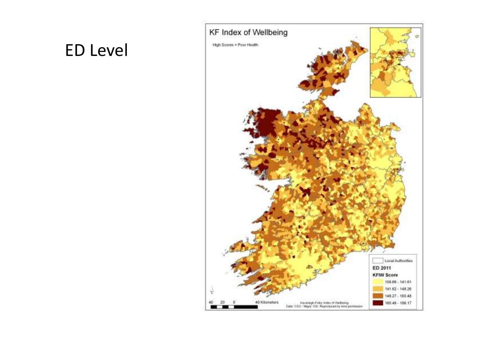#### ED Level

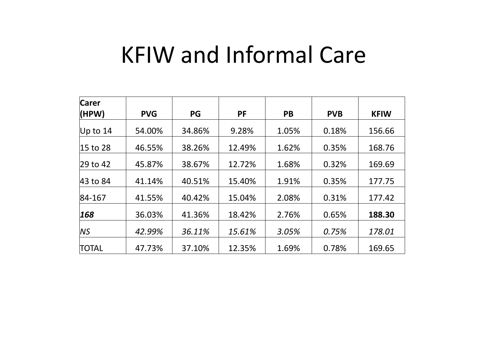### KFIW and Informal Care

| <b>Carer</b><br>(HPW) | <b>PVG</b> | PG     | <b>PF</b> | <b>PB</b> | <b>PVB</b> | <b>KFIW</b> |
|-----------------------|------------|--------|-----------|-----------|------------|-------------|
|                       |            |        |           |           |            |             |
| Up to $14$            | 54.00%     | 34.86% | 9.28%     | 1.05%     | 0.18%      | 156.66      |
| 15 to 28              | 46.55%     | 38.26% | 12.49%    | 1.62%     | 0.35%      | 168.76      |
| $ 29 \text{ to } 42$  | 45.87%     | 38.67% | 12.72%    | 1.68%     | 0.32%      | 169.69      |
| 43 to 84              | 41.14%     | 40.51% | 15.40%    | 1.91%     | 0.35%      | 177.75      |
| 84-167                | 41.55%     | 40.42% | 15.04%    | 2.08%     | 0.31%      | 177.42      |
| 168                   | 36.03%     | 41.36% | 18.42%    | 2.76%     | 0.65%      | 188.30      |
| <b>NS</b>             | 42.99%     | 36.11% | 15.61%    | 3.05%     | 0.75%      | 178.01      |
| <b>TOTAL</b>          | 47.73%     | 37.10% | 12.35%    | 1.69%     | 0.78%      | 169.65      |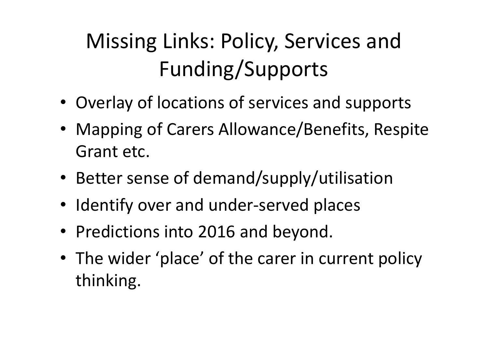# Missing Links: Policy, Services and Funding/Supports

- Overlay of locations of services and supports
- Mapping of Carers Allowance/Benefits, Respite Grant etc.
- Better sense of demand/supply/utilisation
- Identify over and under-served places
- Predictions into 2016 and beyond.
- The wider 'place' of the carer in current policy thinking.